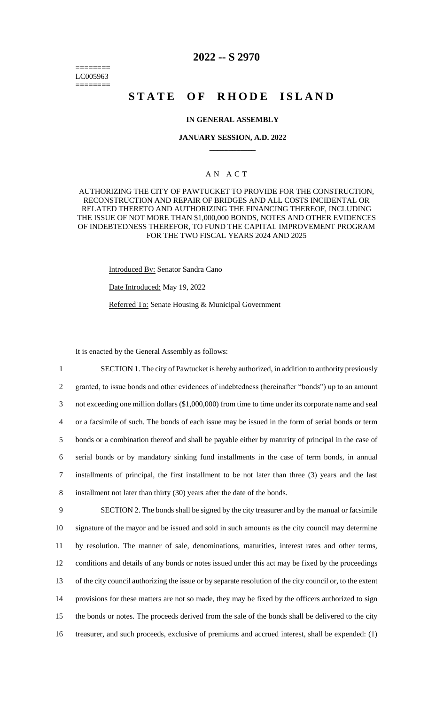======== LC005963 ========

# **2022 -- S 2970**

# **STATE OF RHODE ISLAND**

#### **IN GENERAL ASSEMBLY**

#### **JANUARY SESSION, A.D. 2022 \_\_\_\_\_\_\_\_\_\_\_\_**

# A N A C T

AUTHORIZING THE CITY OF PAWTUCKET TO PROVIDE FOR THE CONSTRUCTION, RECONSTRUCTION AND REPAIR OF BRIDGES AND ALL COSTS INCIDENTAL OR RELATED THERETO AND AUTHORIZING THE FINANCING THEREOF, INCLUDING THE ISSUE OF NOT MORE THAN \$1,000,000 BONDS, NOTES AND OTHER EVIDENCES OF INDEBTEDNESS THEREFOR, TO FUND THE CAPITAL IMPROVEMENT PROGRAM FOR THE TWO FISCAL YEARS 2024 AND 2025

Introduced By: Senator Sandra Cano

Date Introduced: May 19, 2022

Referred To: Senate Housing & Municipal Government

It is enacted by the General Assembly as follows:

 SECTION 1. The city of Pawtucket is hereby authorized, in addition to authority previously granted, to issue bonds and other evidences of indebtedness (hereinafter "bonds") up to an amount not exceeding one million dollars (\$1,000,000) from time to time under its corporate name and seal or a facsimile of such. The bonds of each issue may be issued in the form of serial bonds or term bonds or a combination thereof and shall be payable either by maturity of principal in the case of serial bonds or by mandatory sinking fund installments in the case of term bonds, in annual installments of principal, the first installment to be not later than three (3) years and the last installment not later than thirty (30) years after the date of the bonds. SECTION 2. The bonds shall be signed by the city treasurer and by the manual or facsimile signature of the mayor and be issued and sold in such amounts as the city council may determine

 by resolution. The manner of sale, denominations, maturities, interest rates and other terms, conditions and details of any bonds or notes issued under this act may be fixed by the proceedings of the city council authorizing the issue or by separate resolution of the city council or, to the extent provisions for these matters are not so made, they may be fixed by the officers authorized to sign the bonds or notes. The proceeds derived from the sale of the bonds shall be delivered to the city treasurer, and such proceeds, exclusive of premiums and accrued interest, shall be expended: (1)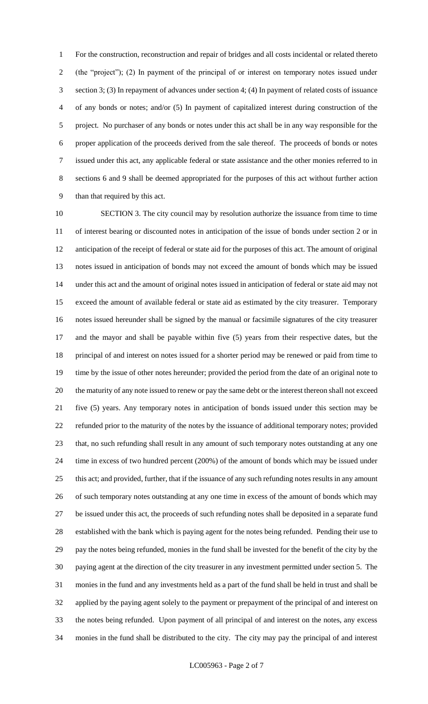For the construction, reconstruction and repair of bridges and all costs incidental or related thereto (the "project"); (2) In payment of the principal of or interest on temporary notes issued under section 3; (3) In repayment of advances under section 4; (4) In payment of related costs of issuance of any bonds or notes; and/or (5) In payment of capitalized interest during construction of the project. No purchaser of any bonds or notes under this act shall be in any way responsible for the proper application of the proceeds derived from the sale thereof. The proceeds of bonds or notes issued under this act, any applicable federal or state assistance and the other monies referred to in sections 6 and 9 shall be deemed appropriated for the purposes of this act without further action than that required by this act.

 SECTION 3. The city council may by resolution authorize the issuance from time to time of interest bearing or discounted notes in anticipation of the issue of bonds under section 2 or in anticipation of the receipt of federal or state aid for the purposes of this act. The amount of original notes issued in anticipation of bonds may not exceed the amount of bonds which may be issued under this act and the amount of original notes issued in anticipation of federal or state aid may not exceed the amount of available federal or state aid as estimated by the city treasurer. Temporary notes issued hereunder shall be signed by the manual or facsimile signatures of the city treasurer and the mayor and shall be payable within five (5) years from their respective dates, but the principal of and interest on notes issued for a shorter period may be renewed or paid from time to time by the issue of other notes hereunder; provided the period from the date of an original note to the maturity of any note issued to renew or pay the same debt or the interest thereon shall not exceed five (5) years. Any temporary notes in anticipation of bonds issued under this section may be refunded prior to the maturity of the notes by the issuance of additional temporary notes; provided that, no such refunding shall result in any amount of such temporary notes outstanding at any one time in excess of two hundred percent (200%) of the amount of bonds which may be issued under this act; and provided, further, that if the issuance of any such refunding notes results in any amount of such temporary notes outstanding at any one time in excess of the amount of bonds which may be issued under this act, the proceeds of such refunding notes shall be deposited in a separate fund established with the bank which is paying agent for the notes being refunded. Pending their use to pay the notes being refunded, monies in the fund shall be invested for the benefit of the city by the paying agent at the direction of the city treasurer in any investment permitted under section 5. The monies in the fund and any investments held as a part of the fund shall be held in trust and shall be applied by the paying agent solely to the payment or prepayment of the principal of and interest on the notes being refunded. Upon payment of all principal of and interest on the notes, any excess monies in the fund shall be distributed to the city. The city may pay the principal of and interest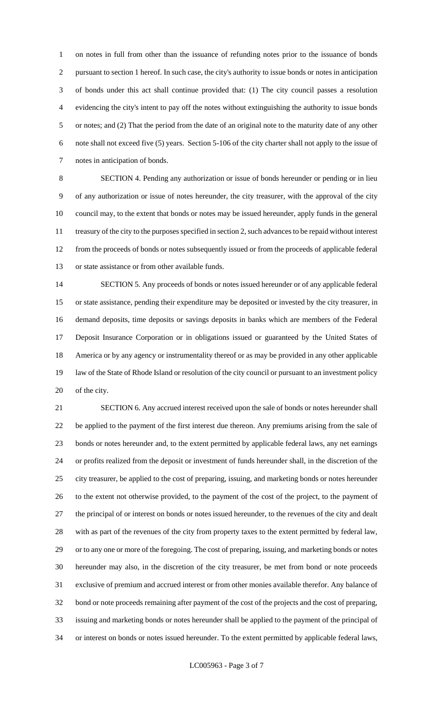on notes in full from other than the issuance of refunding notes prior to the issuance of bonds pursuant to section 1 hereof. In such case, the city's authority to issue bonds or notes in anticipation of bonds under this act shall continue provided that: (1) The city council passes a resolution evidencing the city's intent to pay off the notes without extinguishing the authority to issue bonds or notes; and (2) That the period from the date of an original note to the maturity date of any other note shall not exceed five (5) years. Section 5-106 of the city charter shall not apply to the issue of notes in anticipation of bonds.

 SECTION 4. Pending any authorization or issue of bonds hereunder or pending or in lieu of any authorization or issue of notes hereunder, the city treasurer, with the approval of the city council may, to the extent that bonds or notes may be issued hereunder, apply funds in the general treasury of the city to the purposes specified in section 2, such advances to be repaid without interest from the proceeds of bonds or notes subsequently issued or from the proceeds of applicable federal or state assistance or from other available funds.

 SECTION 5. Any proceeds of bonds or notes issued hereunder or of any applicable federal or state assistance, pending their expenditure may be deposited or invested by the city treasurer, in demand deposits, time deposits or savings deposits in banks which are members of the Federal Deposit Insurance Corporation or in obligations issued or guaranteed by the United States of America or by any agency or instrumentality thereof or as may be provided in any other applicable law of the State of Rhode Island or resolution of the city council or pursuant to an investment policy of the city.

 SECTION 6. Any accrued interest received upon the sale of bonds or notes hereunder shall be applied to the payment of the first interest due thereon. Any premiums arising from the sale of bonds or notes hereunder and, to the extent permitted by applicable federal laws, any net earnings or profits realized from the deposit or investment of funds hereunder shall, in the discretion of the city treasurer, be applied to the cost of preparing, issuing, and marketing bonds or notes hereunder to the extent not otherwise provided, to the payment of the cost of the project, to the payment of the principal of or interest on bonds or notes issued hereunder, to the revenues of the city and dealt with as part of the revenues of the city from property taxes to the extent permitted by federal law, or to any one or more of the foregoing. The cost of preparing, issuing, and marketing bonds or notes hereunder may also, in the discretion of the city treasurer, be met from bond or note proceeds exclusive of premium and accrued interest or from other monies available therefor. Any balance of bond or note proceeds remaining after payment of the cost of the projects and the cost of preparing, issuing and marketing bonds or notes hereunder shall be applied to the payment of the principal of or interest on bonds or notes issued hereunder. To the extent permitted by applicable federal laws,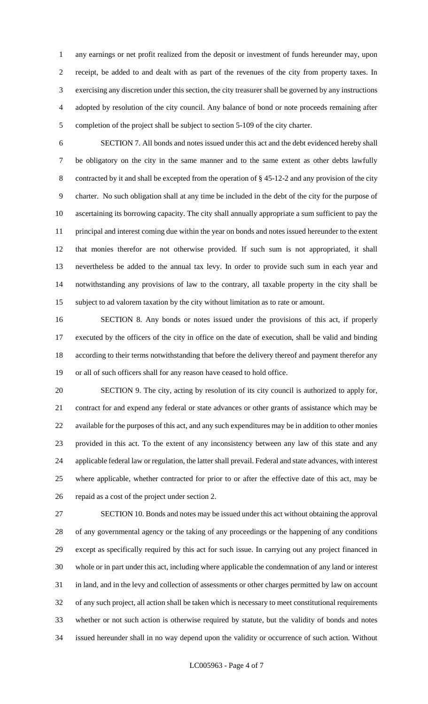any earnings or net profit realized from the deposit or investment of funds hereunder may, upon receipt, be added to and dealt with as part of the revenues of the city from property taxes. In exercising any discretion under this section, the city treasurer shall be governed by any instructions adopted by resolution of the city council. Any balance of bond or note proceeds remaining after completion of the project shall be subject to section 5-109 of the city charter.

 SECTION 7. All bonds and notes issued under this act and the debt evidenced hereby shall be obligatory on the city in the same manner and to the same extent as other debts lawfully contracted by it and shall be excepted from the operation of § 45-12-2 and any provision of the city charter. No such obligation shall at any time be included in the debt of the city for the purpose of ascertaining its borrowing capacity. The city shall annually appropriate a sum sufficient to pay the principal and interest coming due within the year on bonds and notes issued hereunder to the extent that monies therefor are not otherwise provided. If such sum is not appropriated, it shall nevertheless be added to the annual tax levy. In order to provide such sum in each year and notwithstanding any provisions of law to the contrary, all taxable property in the city shall be subject to ad valorem taxation by the city without limitation as to rate or amount.

 SECTION 8. Any bonds or notes issued under the provisions of this act, if properly executed by the officers of the city in office on the date of execution, shall be valid and binding according to their terms notwithstanding that before the delivery thereof and payment therefor any or all of such officers shall for any reason have ceased to hold office.

 SECTION 9. The city, acting by resolution of its city council is authorized to apply for, contract for and expend any federal or state advances or other grants of assistance which may be available for the purposes of this act, and any such expenditures may be in addition to other monies provided in this act. To the extent of any inconsistency between any law of this state and any applicable federal law or regulation, the latter shall prevail. Federal and state advances, with interest where applicable, whether contracted for prior to or after the effective date of this act, may be repaid as a cost of the project under section 2.

 SECTION 10. Bonds and notes may be issued under this act without obtaining the approval of any governmental agency or the taking of any proceedings or the happening of any conditions except as specifically required by this act for such issue. In carrying out any project financed in whole or in part under this act, including where applicable the condemnation of any land or interest in land, and in the levy and collection of assessments or other charges permitted by law on account of any such project, all action shall be taken which is necessary to meet constitutional requirements whether or not such action is otherwise required by statute, but the validity of bonds and notes issued hereunder shall in no way depend upon the validity or occurrence of such action. Without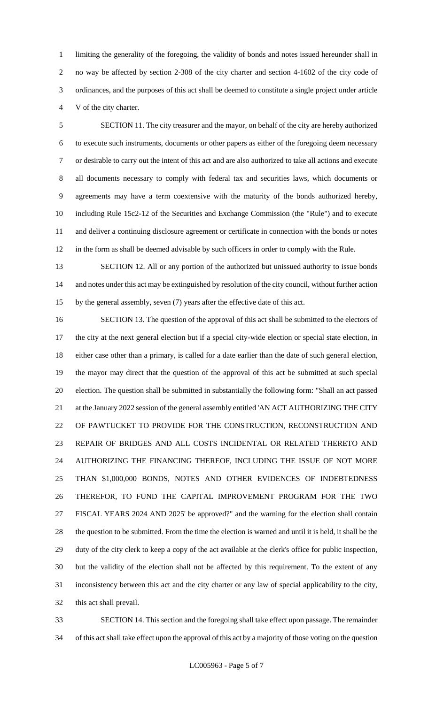limiting the generality of the foregoing, the validity of bonds and notes issued hereunder shall in no way be affected by section 2-308 of the city charter and section 4-1602 of the city code of ordinances, and the purposes of this act shall be deemed to constitute a single project under article V of the city charter.

 SECTION 11. The city treasurer and the mayor, on behalf of the city are hereby authorized to execute such instruments, documents or other papers as either of the foregoing deem necessary or desirable to carry out the intent of this act and are also authorized to take all actions and execute all documents necessary to comply with federal tax and securities laws, which documents or agreements may have a term coextensive with the maturity of the bonds authorized hereby, including Rule 15c2-12 of the Securities and Exchange Commission (the "Rule") and to execute and deliver a continuing disclosure agreement or certificate in connection with the bonds or notes in the form as shall be deemed advisable by such officers in order to comply with the Rule.

 SECTION 12. All or any portion of the authorized but unissued authority to issue bonds and notes under this act may be extinguished by resolution of the city council, without further action by the general assembly, seven (7) years after the effective date of this act.

 SECTION 13. The question of the approval of this act shall be submitted to the electors of the city at the next general election but if a special city-wide election or special state election, in either case other than a primary, is called for a date earlier than the date of such general election, the mayor may direct that the question of the approval of this act be submitted at such special election. The question shall be submitted in substantially the following form: "Shall an act passed 21 at the January 2022 session of the general assembly entitled 'AN ACT AUTHORIZING THE CITY OF PAWTUCKET TO PROVIDE FOR THE CONSTRUCTION, RECONSTRUCTION AND REPAIR OF BRIDGES AND ALL COSTS INCIDENTAL OR RELATED THERETO AND AUTHORIZING THE FINANCING THEREOF, INCLUDING THE ISSUE OF NOT MORE THAN \$1,000,000 BONDS, NOTES AND OTHER EVIDENCES OF INDEBTEDNESS THEREFOR, TO FUND THE CAPITAL IMPROVEMENT PROGRAM FOR THE TWO FISCAL YEARS 2024 AND 2025' be approved?" and the warning for the election shall contain the question to be submitted. From the time the election is warned and until it is held, it shall be the duty of the city clerk to keep a copy of the act available at the clerk's office for public inspection, but the validity of the election shall not be affected by this requirement. To the extent of any inconsistency between this act and the city charter or any law of special applicability to the city, this act shall prevail.

 SECTION 14. This section and the foregoing shall take effect upon passage. The remainder of this act shall take effect upon the approval of this act by a majority of those voting on the question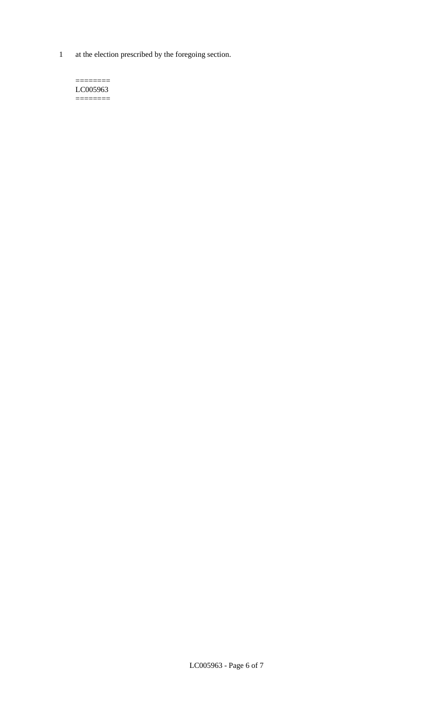1 at the election prescribed by the foregoing section.

 $=$ LC005963 ========